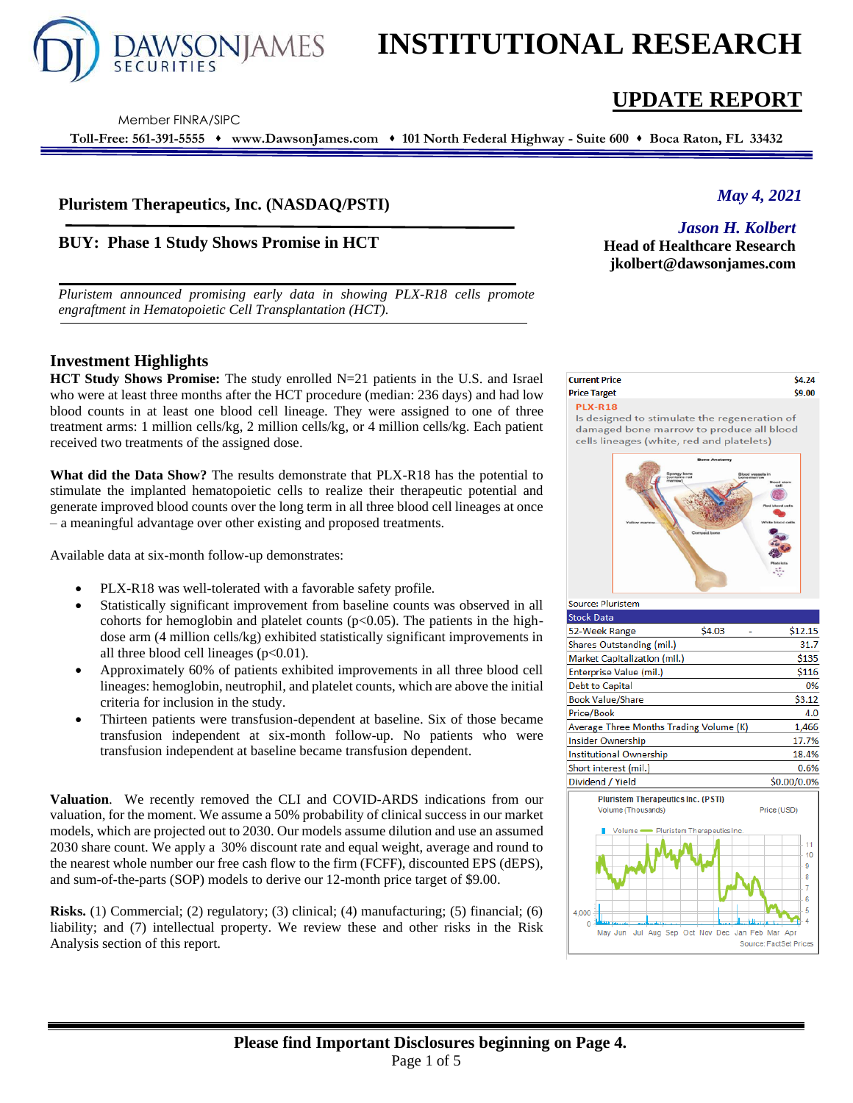

# **INSTITUTIONAL RESEARCH**

Member FINRA/SIPC

**Toll-Free: 561-391-5555** ⬧ **www.DawsonJames.com** ⬧ **101 North Federal Highway - Suite 600** ⬧ **Boca Raton, FL 33432**

# **Pluristem Therapeutics, Inc. (NASDAQ/PSTI)**

# **BUY: Phase 1 Study Shows Promise in HCT**

*Pluristem announced promising early data in showing PLX-R18 cells promote engraftment in Hematopoietic Cell Transplantation (HCT).*

# **Investment Highlights**

**HCT Study Shows Promise:** The study enrolled N=21 patients in the U.S. and Israel who were at least three months after the HCT procedure (median: 236 days) and had low blood counts in at least one blood cell lineage. They were assigned to one of three treatment arms: 1 million cells/kg, 2 million cells/kg, or 4 million cells/kg. Each patient received two treatments of the assigned dose.

**What did the Data Show?** The results demonstrate that PLX-R18 has the potential to stimulate the implanted hematopoietic cells to realize their therapeutic potential and generate improved blood counts over the long term in all three blood cell lineages at once – a meaningful advantage over other existing and proposed treatments.

Available data at six-month follow-up demonstrates:

- PLX-R18 was well-tolerated with a favorable safety profile.
- Statistically significant improvement from baseline counts was observed in all cohorts for hemoglobin and platelet counts  $(p<0.05)$ . The patients in the highdose arm (4 million cells/kg) exhibited statistically significant improvements in all three blood cell lineages  $(p<0.01)$ .
- Approximately 60% of patients exhibited improvements in all three blood cell lineages: hemoglobin, neutrophil, and platelet counts, which are above the initial criteria for inclusion in the study.
- Thirteen patients were transfusion-dependent at baseline. Six of those became transfusion independent at six-month follow-up. No patients who were transfusion independent at baseline became transfusion dependent.

**Valuation**. We recently removed the CLI and COVID-ARDS indications from our valuation, for the moment. We assume a 50% probability of clinical success in our market models, which are projected out to 2030. Our models assume dilution and use an assumed 2030 share count. We apply a 30% discount rate and equal weight, average and round to the nearest whole number our free cash flow to the firm (FCFF), discounted EPS (dEPS), and sum-of-the-parts (SOP) models to derive our 12-month price target of \$9.00.

**Risks.** (1) Commercial; (2) regulatory; (3) clinical; (4) manufacturing; (5) financial; (6) liability; and (7) intellectual property. We review these and other risks in the Risk Analysis section of this report.

# **UPDATE REPORT**

# *May 4, 2021*

*Jason H. Kolbert* **Head of Healthcare Research** 

**jkolbert@dawsonjames.com**

#### **Current Price** \$4.24 **Price Target** \$9.00 **PLX-R18**

Is designed to stimulate the regeneration of damaged bone marrow to produce all blood cells lineages (white, red and platelets)



| <b>Stock Data</b>                       |        |             |
|-----------------------------------------|--------|-------------|
| 52-Week Range                           | \$4.03 | \$12.15     |
| Shares Outstanding (mil.)               |        | 31.7        |
| Market Capitalization (mil.)            |        | \$135       |
| <b>Enterprise Value (mil.)</b>          |        | \$116       |
| <b>Debt to Capital</b>                  |        | 0%          |
| <b>Book Value/Share</b>                 |        | \$3.12      |
| Price/Book                              |        | 4.0         |
| Average Three Months Trading Volume (K) |        | 1.466       |
| Insider Ownership                       |        | 17.7%       |
| <b>Institutional Ownership</b>          |        | 18.4%       |
| Short interest (mil.)                   |        | 0.6%        |
| Dividend / Yield                        |        | \$0.00/0.0% |
|                                         |        |             |

Source: Pluristem

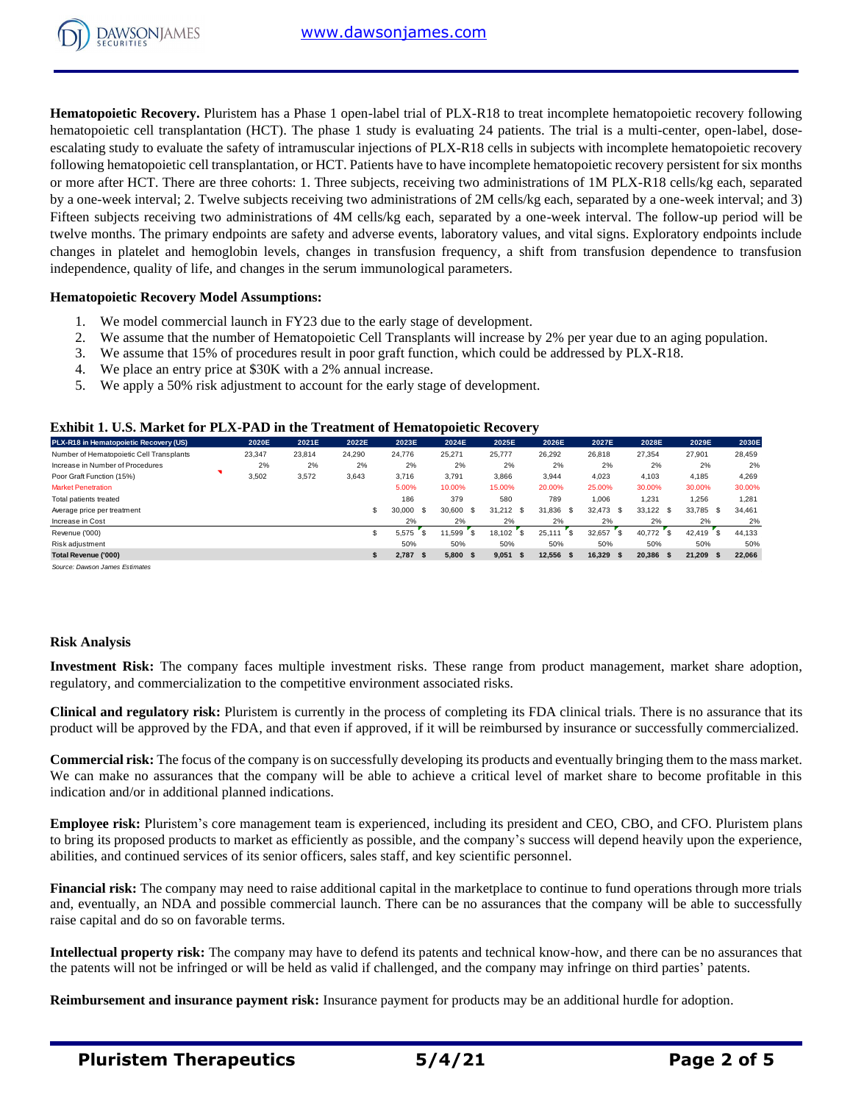

**Hematopoietic Recovery.** Pluristem has a Phase 1 open-label trial of PLX-R18 to treat incomplete hematopoietic recovery following hematopoietic cell transplantation (HCT). The phase 1 study is evaluating 24 patients. The trial is a multi-center, open-label, doseescalating study to evaluate the safety of intramuscular injections of PLX-R18 cells in subjects with incomplete hematopoietic recovery following hematopoietic cell transplantation, or HCT. Patients have to have incomplete hematopoietic recovery persistent for six months or more after HCT. There are three cohorts: 1. Three subjects, receiving two administrations of 1M PLX-R18 cells/kg each, separated by a one-week interval; 2. Twelve subjects receiving two administrations of 2M cells/kg each, separated by a one-week interval; and 3) Fifteen subjects receiving two administrations of 4M cells/kg each, separated by a one-week interval. The follow-up period will be twelve months. The primary endpoints are safety and adverse events, laboratory values, and vital signs. Exploratory endpoints include changes in platelet and hemoglobin levels, changes in transfusion frequency, a shift from transfusion dependence to transfusion independence, quality of life, and changes in the serum immunological parameters.

### **Hematopoietic Recovery Model Assumptions:**

- 1. We model commercial launch in FY23 due to the early stage of development.
- 2. We assume that the number of Hematopoietic Cell Transplants will increase by 2% per year due to an aging population.
- 3. We assume that 15% of procedures result in poor graft function, which could be addressed by PLX-R18.
- 4. We place an entry price at \$30K with a 2% annual increase.
- 5. We apply a 50% risk adjustment to account for the early stage of development.

#### **Exhibit 1. U.S. Market for PLX-PAD in the Treatment of Hematopoietic Recovery**

| PLX-R18 in Hematopoietic Recovery (US)   | 2020E  | 2021E  | 2022E  | 2023E          | 2024E        | 2025E          | 2026E          | 2027E       | 2028E         | 2029E          | 2030E  |
|------------------------------------------|--------|--------|--------|----------------|--------------|----------------|----------------|-------------|---------------|----------------|--------|
| Number of Hematopoietic Cell Transplants | 23,347 | 23,814 | 24.290 | 24.776         | 25,271       | 25,777         | 26,292         | 26,818      | 27.354        | 27,901         | 28,459 |
| Increase in Number of Procedures         | 2%     | 2%     | 2%     | 2%             | 2%           | 2%             | 2%             | 2%          | 2%            | 2%             | 2%     |
| Poor Graft Function (15%)                | 3,502  | 3,572  | 3,643  | 3,716          | 3,791        | 3,866          | 3,944          | 4,023       | 4,103         | 4,185          | 4,269  |
| <b>Market Penetration</b>                |        |        |        | 5.00%          | 10.00%       | 15.00%         | 20.00%         | 25.00%      | 30.00%        | 30.00%         | 30.00% |
| Total patients treated                   |        |        |        | 186            | 379          | 580            | 789            | 1.006       | 1.231         | 1,256          | 1,281  |
| Average price per treatment              |        |        | \$.    | 30,000<br>- \$ | 30,600<br>-S | 31.212<br>- \$ | 31.836<br>- \$ | 32,473 \$   | 33,122 \$     | 33.785<br>- \$ | 34,461 |
| Increase in Cost                         |        |        |        | 2%             | 2%           | 2%             | 2%             | 2%          | 2%            | 2%             | 2%     |
| Revenue ('000)                           |        |        | \$     | 5.575          | 11.599<br>-S | 18.102         | 25.111<br>ີ \$ | 32.657      | 40.772<br>ΓS. | 42.419         | 44.133 |
| Risk adjustment                          |        |        |        | 50%            | 50%          | 50%            | 50%            | 50%         | 50%           | 50%            | 50%    |
| Total Revenue ('000)                     |        |        | \$.    | $2,787$ \$     | 5.800<br>-S  | 9.051<br>-S    | 12,556 \$      | $16,329$ \$ | 20,386 \$     | 21.209         | 22,066 |
|                                          |        |        |        |                |              |                |                |             |               |                |        |

*Source: Dawson James Estimates*

### **Risk Analysis**

**Investment Risk:** The company faces multiple investment risks. These range from product management, market share adoption, regulatory, and commercialization to the competitive environment associated risks.

**Clinical and regulatory risk:** Pluristem is currently in the process of completing its FDA clinical trials. There is no assurance that its product will be approved by the FDA, and that even if approved, if it will be reimbursed by insurance or successfully commercialized.

**Commercial risk:** The focus of the company is on successfully developing its products and eventually bringing them to the mass market. We can make no assurances that the company will be able to achieve a critical level of market share to become profitable in this indication and/or in additional planned indications.

**Employee risk:** Pluristem's core management team is experienced, including its president and CEO, CBO, and CFO. Pluristem plans to bring its proposed products to market as efficiently as possible, and the company's success will depend heavily upon the experience, abilities, and continued services of its senior officers, sales staff, and key scientific personnel.

**Financial risk:** The company may need to raise additional capital in the marketplace to continue to fund operations through more trials and, eventually, an NDA and possible commercial launch. There can be no assurances that the company will be able to successfully raise capital and do so on favorable terms.

**Intellectual property risk:** The company may have to defend its patents and technical know-how, and there can be no assurances that the patents will not be infringed or will be held as valid if challenged, and the company may infringe on third parties' patents.

**Reimbursement and insurance payment risk:** Insurance payment for products may be an additional hurdle for adoption.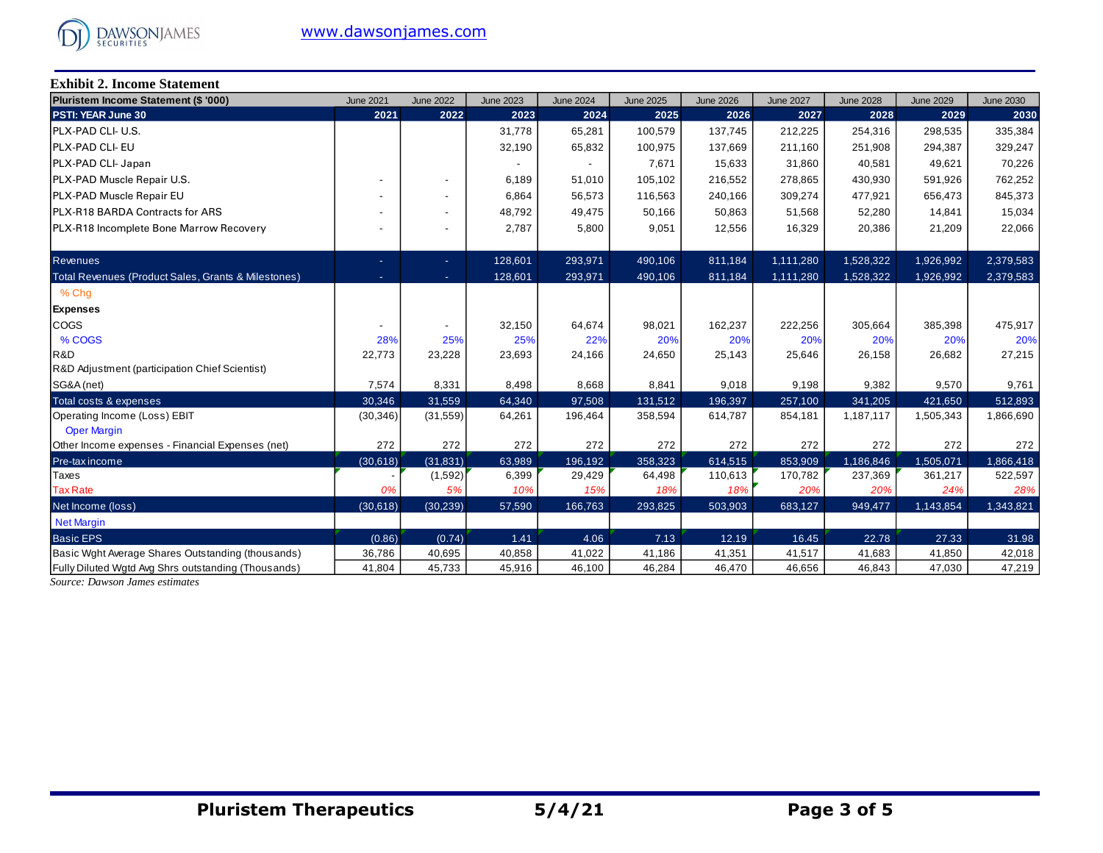

**Exhibit 2. Income Statement**

| Pluristem Income Statement (\$ '000)                | <b>June 2021</b> | <b>June 2022</b> | <b>June 2023</b> | <b>June 2024</b> | <b>June 2025</b> | <b>June 2026</b> | <b>June 2027</b> | <b>June 2028</b> | <b>June 2029</b> | <b>June 2030</b> |
|-----------------------------------------------------|------------------|------------------|------------------|------------------|------------------|------------------|------------------|------------------|------------------|------------------|
| PSTI: YEAR June 30                                  | 2021             | 2022             | 2023             | 2024             | 2025             | 2026             | 2027             | 2028             | 2029             | 2030             |
| IPLX-PAD CLI- U.S.                                  |                  |                  | 31,778           | 65,281           | 100,579          | 137,745          | 212,225          | 254,316          | 298,535          | 335,384          |
| PLX-PAD CLI- EU                                     |                  |                  | 32,190           | 65,832           | 100,975          | 137,669          | 211,160          | 251,908          | 294,387          | 329,247          |
| PLX-PAD CLI- Japan                                  |                  |                  |                  |                  | 7,671            | 15,633           | 31,860           | 40,581           | 49,621           | 70,226           |
| PLX-PAD Muscle Repair U.S.                          |                  |                  | 6,189            | 51,010           | 105.102          | 216,552          | 278,865          | 430,930          | 591,926          | 762,252          |
| PLX-PAD Muscle Repair EU                            |                  |                  | 6,864            | 56,573           | 116,563          | 240,166          | 309,274          | 477,921          | 656,473          | 845,373          |
| PLX-R18 BARDA Contracts for ARS                     |                  |                  | 48,792           | 49,475           | 50,166           | 50,863           | 51,568           | 52,280           | 14,841           | 15,034           |
| PLX-R18 Incomplete Bone Marrow Recovery             |                  |                  | 2,787            | 5,800            | 9,051            | 12,556           | 16,329           | 20,386           | 21,209           | 22,066           |
|                                                     |                  |                  |                  |                  |                  |                  |                  |                  |                  |                  |
| <b>Revenues</b>                                     | ٠                | ÷                | 128,601          | 293,971          | 490,106          | 811,184          | 1,111,280        | 1,528,322        | 1,926,992        | 2,379,583        |
| Total Revenues (Product Sales, Grants & Milestones) | ÷                | $\sim$           | 128,601          | 293,971          | 490,106          | 811,184          | 1,111,280        | 1,528,322        | 1,926,992        | 2,379,583        |
| % Chg                                               |                  |                  |                  |                  |                  |                  |                  |                  |                  |                  |
| <b>Expenses</b>                                     |                  |                  |                  |                  |                  |                  |                  |                  |                  |                  |
| <b>COGS</b>                                         |                  |                  | 32,150           | 64,674           | 98,021           | 162,237          | 222,256          | 305,664          | 385,398          | 475,917          |
| % COGS                                              | 28%              | 25%              | 25%              | 22%              | 20%              | 20%              | 20%              | 20%              | 20%              | 20%              |
| R&D                                                 | 22,773           | 23,228           | 23,693           | 24,166           | 24,650           | 25,143           | 25,646           | 26,158           | 26,682           | 27,215           |
| R&D Adjustment (participation Chief Scientist)      |                  |                  |                  |                  |                  |                  |                  |                  |                  |                  |
| SG&A (net)                                          | 7,574            | 8,331            | 8,498            | 8,668            | 8,841            | 9,018            | 9,198            | 9,382            | 9,570            | 9,761            |
| Total costs & expenses                              | 30,346           | 31,559           | 64,340           | 97,508           | 131,512          | 196,397          | 257,100          | 341,205          | 421,650          | 512,893          |
| Operating Income (Loss) EBIT                        | (30, 346)        | (31, 559)        | 64,261           | 196,464          | 358,594          | 614,787          | 854,181          | 1,187,117        | 1,505,343        | 1,866,690        |
| <b>Oper Margin</b>                                  |                  |                  |                  |                  |                  |                  |                  |                  |                  |                  |
| Other Income expenses - Financial Expenses (net)    | 272              | 272              | 272              | 272              | 272              | 272              | 272              | 272              | 272              | 272              |
| Pre-tax income                                      | (30,618)         | (31, 831)        | 63,989           | 196,192          | 358,323          | 614,515          | 853,909          | 1,186,846        | 1,505,071        | 1,866,418        |
| <b>Taxes</b>                                        |                  | (1,592)          | 6,399            | 29,429           | 64,498           | 110,613          | 170,782          | 237,369          | 361,217          | 522,597          |
| <b>Tax Rate</b>                                     | 0%               | 5%               | 10%              | 15%              | 18%              | 18%              | 20%              | 20%              | 24%              | 28%              |
| Net Income (loss)                                   | (30,618)         | (30, 239)        | 57,590           | 166,763          | 293,825          | 503,903          | 683,127          | 949,477          | 1,143,854        | 1,343,821        |
| <b>Net Margin</b>                                   |                  |                  |                  |                  |                  |                  |                  |                  |                  |                  |
| <b>Basic EPS</b>                                    | (0.86)           | (0.74)           | 1.41             | 4.06             | 7.13             | 12.19            | 16.45            | 22.78            | 27.33            | 31.98            |
| Basic Wght Average Shares Outstanding (thousands)   | 36,786           | 40,695           | 40,858           | 41,022           | 41,186           | 41,351           | 41,517           | 41,683           | 41,850           | 42,018           |
| Fully Diluted Wgtd Avg Shrs outstanding (Thousands) | 41,804           | 45,733           | 45,916           | 46,100           | 46,284           | 46,470           | 46,656           | 46,843           | 47,030           | 47,219           |

*Source: Dawson James estimates*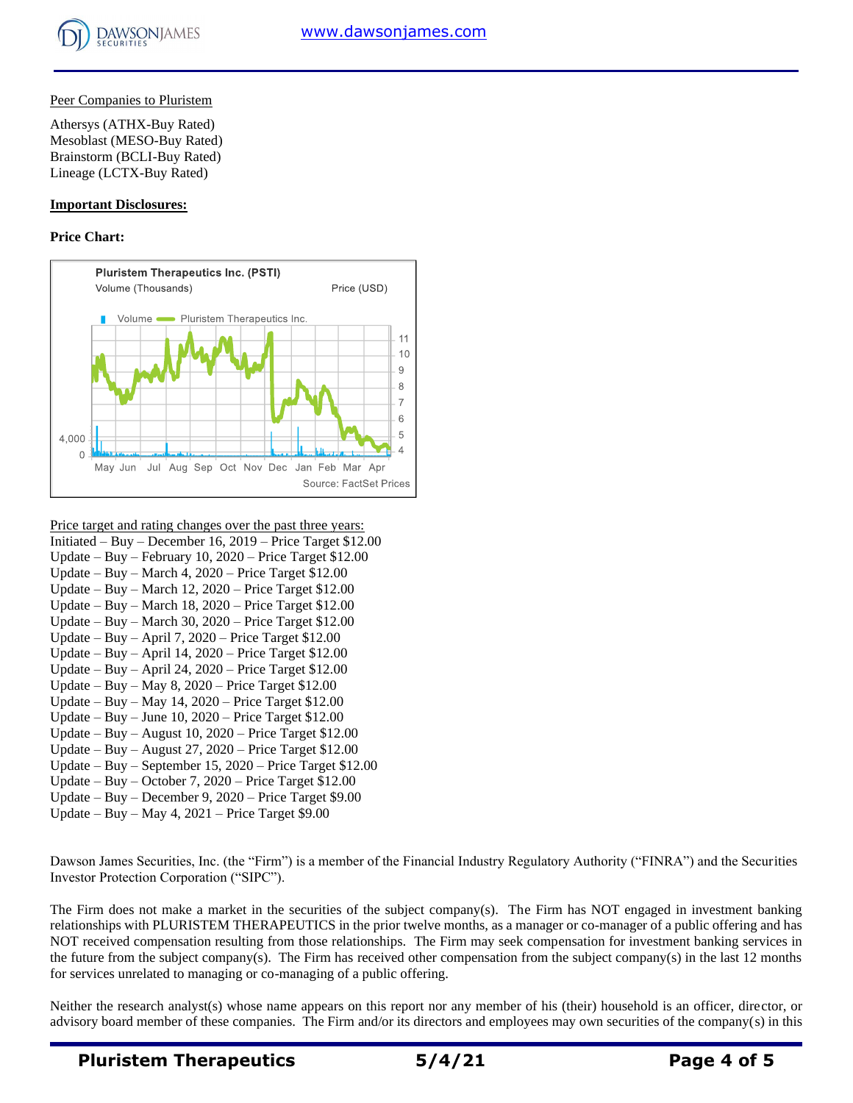

# Peer Companies to Pluristem

Athersys (ATHX-Buy Rated) Mesoblast (MESO-Buy Rated) Brainstorm (BCLI-Buy Rated) Lineage (LCTX-Buy Rated)

## **Important Disclosures:**

## **Price Chart:**



- Price target and rating changes over the past three years:
- Initiated Buy December 16, 2019 Price Target \$12.00 Update – Buy – February 10, 2020 – Price Target \$12.00
- Update Buy March 4, 2020 Price Target \$12.00
- Update Buy March 12, 2020 Price Target \$12.00
- Update Buy March 18, 2020 Price Target \$12.00
- Update Buy March 30, 2020 Price Target \$12.00
- Update Buy April 7, 2020 Price Target \$12.00
- Update Buy April 14, 2020 Price Target \$12.00
- Update Buy April 24, 2020 Price Target \$12.00
- Update Buy May 8, 2020 Price Target \$12.00
- Update Buy May 14, 2020 Price Target \$12.00
- Update Buy June 10, 2020 Price Target \$12.00
- Update Buy August 10, 2020 Price Target \$12.00
- Update Buy August 27, 2020 Price Target \$12.00
- Update Buy September 15, 2020 Price Target \$12.00
- Update Buy October 7, 2020 Price Target \$12.00
- Update Buy December 9, 2020 Price Target \$9.00
- Update Buy May 4, 2021 Price Target \$9.00

Dawson James Securities, Inc. (the "Firm") is a member of the Financial Industry Regulatory Authority ("FINRA") and the Securities Investor Protection Corporation ("SIPC").

The Firm does not make a market in the securities of the subject company(s). The Firm has NOT engaged in investment banking relationships with PLURISTEM THERAPEUTICS in the prior twelve months, as a manager or co-manager of a public offering and has NOT received compensation resulting from those relationships. The Firm may seek compensation for investment banking services in the future from the subject company(s). The Firm has received other compensation from the subject company(s) in the last 12 months for services unrelated to managing or co-managing of a public offering.

Neither the research analyst(s) whose name appears on this report nor any member of his (their) household is an officer, director, or advisory board member of these companies. The Firm and/or its directors and employees may own securities of the company(s) in this